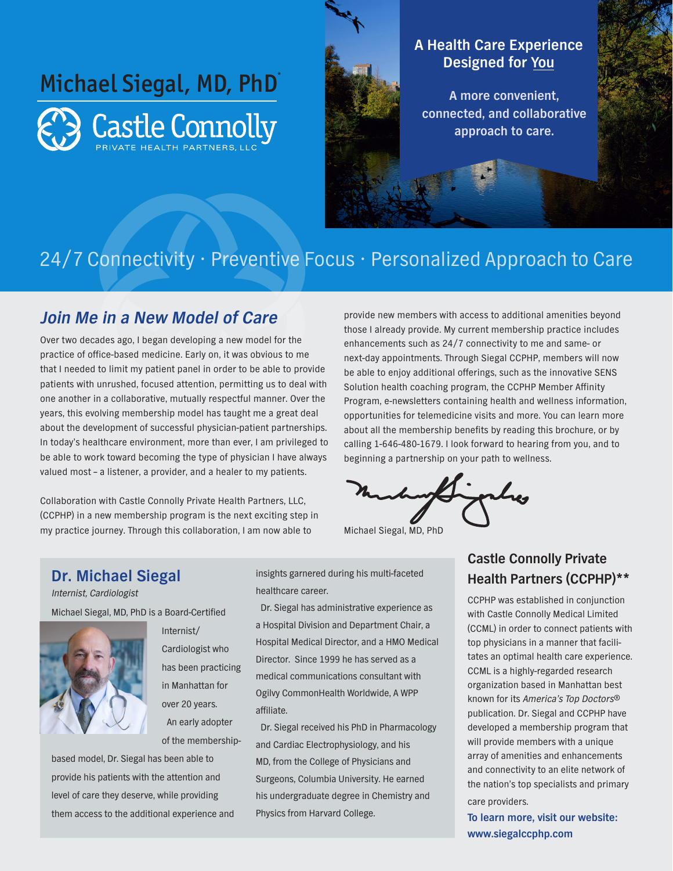

### **A Health Care Experience Designed for You**

**A more convenient, connected, and collaborative approach to care.**

## 24/7 Connectivity • Preventive Focus • Personalized Approach to Care

### **Join Me in a New Model of Care**

Over two decades ago, I began developing a new model for the practice of office-based medicine. Early on, it was obvious to me that I needed to limit my patient panel in order to be able to provide patients with unrushed, focused attention, permitting us to deal with one another in a collaborative, mutually respectful manner. Over the years, this evolving membership model has taught me a great deal about the development of successful physician-patient partnerships. In today's healthcare environment, more than ever, I am privileged to be able to work toward becoming the type of physician I have always valued most – a listener, a provider, and a healer to my patients.

Collaboration with Castle Connolly Private Health Partners, LLC, (CCPHP) in a new membership program is the next exciting step in my practice journey. Through this collaboration, I am now able to

provide new members with access to additional amenities beyond those I already provide. My current membership practice includes enhancements such as 24/7 connectivity to me and same- or next-day appointments. Through Siegal CCPHP, members will now be able to enjoy additional offerings, such as the innovative SENS Solution health coaching program, the CCPHP Member Affinity Program, e-newsletters containing health and wellness information, opportunities for telemedicine visits and more. You can learn more about all the membership benefits by reading this brochure, or by calling 1-646-480-1679. I look forward to hearing from you, and to beginning a partnership on your path to wellness.

Michael Siegal, MD, PhD

#### **Dr. Michael Siegal**

Internist, Cardiologist

Michael Siegal, MD, PhD is a Board-Certified



Internist/ Cardiologist who has been practicing in Manhattan for over 20 years. An early adopter of the membership-

based model, Dr. Siegal has been able to provide his patients with the attention and level of care they deserve, while providing them access to the additional experience and insights garnered during his multi-faceted healthcare career.

Dr. Siegal has administrative experience as a Hospital Division and Department Chair, a Hospital Medical Director, and a HMO Medical Director. Since 1999 he has served as a medical communications consultant with Ogilvy CommonHealth Worldwide, A WPP affiliate.

Dr. Siegal received his PhD in Pharmacology and Cardiac Electrophysiology, and his MD, from the College of Physicians and Surgeons, Columbia University. He earned his undergraduate degree in Chemistry and Physics from Harvard College.

### **Castle Connolly Private Health Partners (CCPHP)\*\***

CCPHP was established in conjunction with Castle Connolly Medical Limited (CCML) in order to connect patients with top physicians in a manner that facilitates an optimal health care experience. CCML is a highly-regarded research organization based in Manhattan best known for its America's Top Doctors® publication. Dr. Siegal and CCPHP have developed a membership program that will provide members with a unique array of amenities and enhancements and connectivity to an elite network of the nation's top specialists and primary care providers.

**To learn more, visit our website: www.siegalccphp.com**